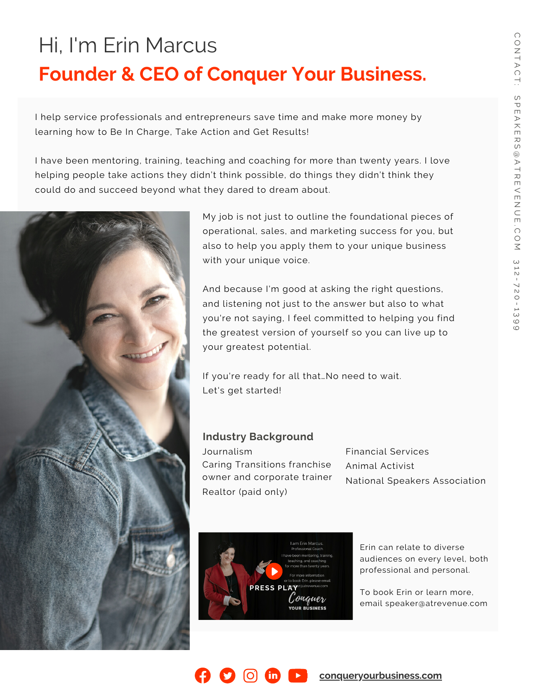### **Founder & CEO of Conquer Your Business.** Hi, I'm Erin Marcus

I help service professionals and entrepreneurs save time and make more money by learning how to Be In Charge, Take Action and Get Results!

I have been mentoring, training, teaching and coaching for more than twenty years. I love helping people take actions they didn't think possible, do things they didn't think they could do and succeed beyond what they dared to dream about.



My job is not just to outline the foundational pieces of operational, sales, and marketing success for you, but also to help you apply them to your unique business with your unique voice.

And because I'm good at asking the right questions, and listening not just to the answer but also to what you're not saying, I feel committed to helping you find the greatest version of yourself so you can live up to your greatest potential.

If you're ready for all that…No need to wait. Let's get started!

#### **Industry Background**

Journalism Caring Transitions franchise owner and corporate trainer Realtor (paid only)

Financial Services Animal Activist National Speakers Association



 $\mathbf{in}$ 

Erin can relate to diverse audiences on every level, both professional and personal.

To book Erin or learn more, email [speaker@atrevenue.com](mailto:speaker@atrevenue.com)